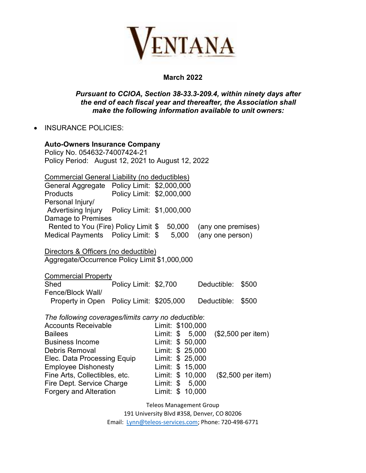

## **March 2022**

## *Pursuant to CCIOA, Section 38-33.3-209.4, within ninety days after the end of each fiscal year and thereafter, the Association shall make the following information available to unit owners:*

• INSURANCE POLICIES:

| <b>Auto-Owners Insurance Company</b><br>Policy No. 054632-74007424-21<br>Policy Period: August 12, 2021 to August 12, 2022 |                           |                  |                                      |  |                    |                    |  |  |
|----------------------------------------------------------------------------------------------------------------------------|---------------------------|------------------|--------------------------------------|--|--------------------|--------------------|--|--|
| <b>Commercial General Liability (no deductibles)</b>                                                                       |                           |                  |                                      |  |                    |                    |  |  |
| General Aggregate Policy Limit: \$2,000,000<br>Products                                                                    | Policy Limit: \$2,000,000 |                  |                                      |  |                    |                    |  |  |
| Personal Injury/                                                                                                           |                           |                  |                                      |  |                    |                    |  |  |
| Advertising Injury  Policy Limit: \$1,000,000<br>Damage to Premises                                                        |                           |                  |                                      |  |                    |                    |  |  |
| Rented to You (Fire) Policy Limit \$ 50,000                                                                                |                           |                  |                                      |  | (any one premises) |                    |  |  |
| Medical Payments Policy Limit: \$                                                                                          |                           |                  | 5,000                                |  | (any one person)   |                    |  |  |
| Directors & Officers (no deductible)<br>Aggregate/Occurrence Policy Limit \$1,000,000                                      |                           |                  |                                      |  |                    |                    |  |  |
| <b>Commercial Property</b>                                                                                                 |                           |                  |                                      |  |                    |                    |  |  |
| Shed                                                                                                                       | Policy Limit: \$2,700     |                  |                                      |  | Deductible:        | \$500              |  |  |
| Fence/Block Wall/                                                                                                          |                           |                  |                                      |  |                    |                    |  |  |
| Property in Open Policy Limit: \$205,000                                                                                   |                           |                  |                                      |  | Deductible:        | \$500              |  |  |
| The following coverages/limits carry no deductible:                                                                        |                           |                  |                                      |  |                    |                    |  |  |
| <b>Accounts Receivable</b>                                                                                                 |                           |                  | Limit: \$100,000                     |  |                    |                    |  |  |
| <b>Bailees</b>                                                                                                             |                           |                  | Limit: \$ 5,000                      |  |                    | (\$2,500 per item) |  |  |
| <b>Business Income</b>                                                                                                     |                           |                  | Limit: \$ 50,000                     |  |                    |                    |  |  |
| Debris Removal                                                                                                             |                           |                  | Limit: \$ 25,000                     |  |                    |                    |  |  |
| Elec. Data Processing Equip<br><b>Employee Dishonesty</b>                                                                  |                           |                  | Limit: \$ 25,000<br>Limit: \$ 15,000 |  |                    |                    |  |  |
| Fine Arts, Collectibles, etc.                                                                                              |                           | Limit: \$ 10,000 |                                      |  | (\$2,500 per item) |                    |  |  |
| Fire Dept. Service Charge                                                                                                  |                           | Limit: \$ 5,000  |                                      |  |                    |                    |  |  |
| <b>Forgery and Alteration</b>                                                                                              |                           | Limit: \$ 10,000 |                                      |  |                    |                    |  |  |

Teleos Management Group 191 University Blvd #358, Denver, CO 80206

Email: Lynn@teleos-services.com; Phone: 720-498-6771